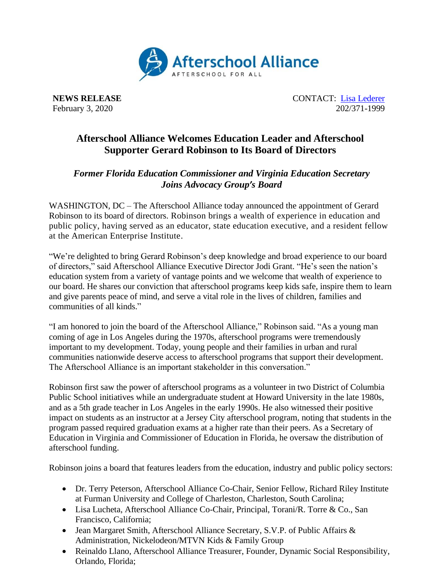

**NEWS RELEASE** CONTACT: [Lisa Lederer](mailto:lisa@prsolutionsdc.com) February 3, 2020 202/371-1999

## **Afterschool Alliance Welcomes Education Leader and Afterschool Supporter Gerard Robinson to Its Board of Directors**

## *Former Florida Education Commissioner and Virginia Education Secretary Joins Advocacy Group's Board*

WASHINGTON, DC – The Afterschool Alliance today announced the appointment of Gerard Robinson to its board of directors. Robinson brings a wealth of experience in education and public policy, having served as an educator, state education executive, and a resident fellow at the American Enterprise Institute.

"We're delighted to bring Gerard Robinson's deep knowledge and broad experience to our board of directors," said Afterschool Alliance Executive Director Jodi Grant. "He's seen the nation's education system from a variety of vantage points and we welcome that wealth of experience to our board. He shares our conviction that afterschool programs keep kids safe, inspire them to learn and give parents peace of mind, and serve a vital role in the lives of children, families and communities of all kinds."

"I am honored to join the board of the Afterschool Alliance," Robinson said. "As a young man coming of age in Los Angeles during the 1970s, afterschool programs were tremendously important to my development. Today, young people and their families in urban and rural communities nationwide deserve access to afterschool programs that support their development. The Afterschool Alliance is an important stakeholder in this conversation."

Robinson first saw the power of afterschool programs as a volunteer in two District of Columbia Public School initiatives while an undergraduate student at Howard University in the late 1980s, and as a 5th grade teacher in Los Angeles in the early 1990s. He also witnessed their positive impact on students as an instructor at a Jersey City afterschool program, noting that students in the program passed required graduation exams at a higher rate than their peers. As a Secretary of Education in Virginia and Commissioner of Education in Florida, he oversaw the distribution of afterschool funding.

Robinson joins a board that features leaders from the education, industry and public policy sectors:

- Dr. Terry Peterson, Afterschool Alliance Co-Chair, Senior Fellow, Richard Riley Institute at Furman University and College of Charleston, Charleston, South Carolina;
- Lisa Lucheta, Afterschool Alliance Co-Chair, Principal, Torani/R. Torre & Co., San Francisco, California;
- Jean Margaret Smith, Afterschool Alliance Secretary, S.V.P. of Public Affairs & Administration, Nickelodeon/MTVN Kids & Family Group
- Reinaldo Llano, Afterschool Alliance Treasurer, Founder, Dynamic Social Responsibility, Orlando, Florida;